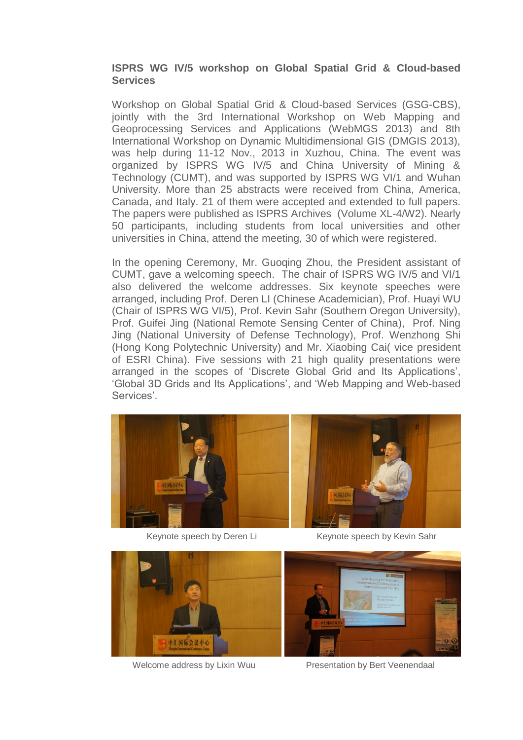## **ISPRS WG IV/5 workshop on Global Spatial Grid & Cloud-based Services**

Workshop on Global Spatial Grid & Cloud-based Services (GSG-CBS), jointly with the 3rd International Workshop on Web Mapping and Geoprocessing Services and Applications (WebMGS 2013) and 8th International Workshop on Dynamic Multidimensional GIS (DMGIS 2013), was help during 11-12 Nov., 2013 in Xuzhou, China. The event was organized by ISPRS WG IV/5 and China University of Mining & Technology (CUMT), and was supported by ISPRS WG VI/1 and Wuhan University. More than 25 abstracts were received from China, America, Canada, and Italy. 21 of them were accepted and extended to full papers. The papers were published as ISPRS Archives (Volume XL-4/W2). Nearly 50 participants, including students from local universities and other universities in China, attend the meeting, 30 of which were registered.

In the opening Ceremony, Mr. Guoqing Zhou, the President assistant of CUMT, gave a welcoming speech. The chair of ISPRS WG IV/5 and VI/1 also delivered the welcome addresses. Six keynote speeches were arranged, including Prof. Deren LI (Chinese Academician), Prof. Huayi WU (Chair of ISPRS WG VI/5), Prof. Kevin Sahr (Southern Oregon University), Prof. Guifei Jing (National Remote Sensing Center of China), Prof. Ning Jing (National University of Defense Technology), Prof. Wenzhong Shi (Hong Kong Polytechnic University) and Mr. Xiaobing Cai( vice president of ESRI China). Five sessions with 21 high quality presentations were arranged in the scopes of 'Discrete Global Grid and Its Applications', 'Global 3D Grids and Its Applications', and 'Web Mapping and Web-based Services'.



Keynote speech by Deren Li Keynote speech by Keyin Sahr



Welcome address by Lixin Wuu Presentation by Bert Veenendaal